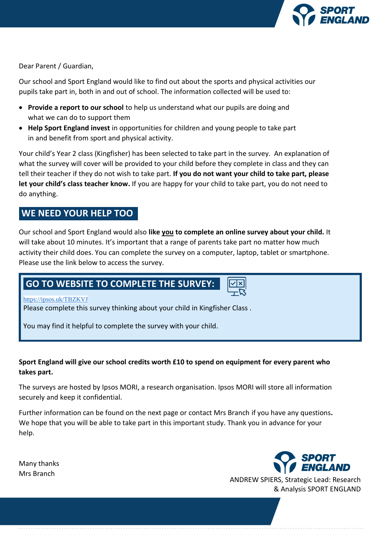

Dear Parent / Guardian,

Our school and Sport England would like to find out about the sports and physical activities our pupils take part in, both in and out of school. The information collected will be used to:

- **Provide a report to our school** to help us understand what our pupils are doing and what we can do to support them
- **Help Sport England invest** in opportunities for children and young people to take part in and benefit from sport and physical activity.

Your child's Year 2 class (Kingfisher) has been selected to take part in the survey. An explanation of what the survey will cover will be provided to your child before they complete in class and they can tell their teacher if they do not wish to take part. **If you do not want your child to take part, please let your child's class teacher know.** If you are happy for your child to take part, you do not need to do anything.

# **WE NEED YOUR HELP TOO**

Our school and Sport England would also **like you to complete an online survey about your child.** It will take about 10 minutes. It's important that a range of parents take part no matter how much activity their child does. You can complete the survey on a computer, laptop, tablet or smartphone. Please use the link below to access the survey.

# **GO TO WEBSITE TO COMPLETE THE SURVEY:**

<https://ipsos.uk/TBZKVJ>

Please complete this survey thinking about your child in Kingfisher Class .

You may find it helpful to complete the survey with your child.

# **Sport England will give our school credits worth £10 to spend on equipment for every parent who takes part.**

The surveys are hosted by Ipsos MORI, a research organisation. Ipsos MORI will store all information securely and keep it confidential.

Further information can be found on the next page or contact Mrs Branch if you have any questions**.**  We hope that you will be able to take part in this important study. Thank you in advance for your help.

Many thanks Mrs Branch



ANDREW SPIERS, Strategic Lead: Research & Analysis SPORT ENGLAND